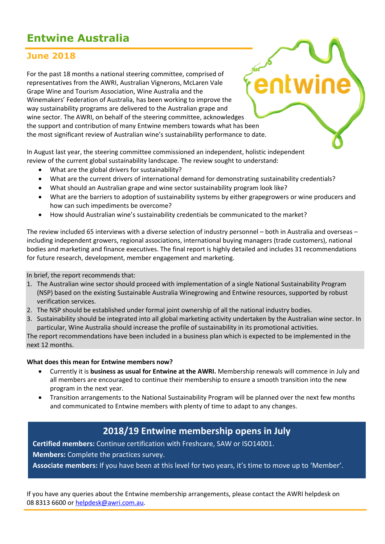# **Entwine Australia**

### **June 2018**

For the past 18 months a national steering committee, comprised of representatives from the AWRI, Australian Vignerons, McLaren Vale Grape Wine and Tourism Association, Wine Australia and the Winemakers' Federation of Australia, has been working to improve the way sustainability programs are delivered to the Australian grape and wine sector. The AWRI, on behalf of the steering committee, acknowledges the support and contribution of many Entwine members towards what has been the most significant review of Australian wine's sustainability performance to date.

In August last year, the steering committee commissioned an independent, holistic independent review of the current global sustainability landscape. The review sought to understand:

- What are the global drivers for sustainability?
- What are the current drivers of international demand for demonstrating sustainability credentials?
- What should an Australian grape and wine sector sustainability program look like?
- What are the barriers to adoption of sustainability systems by either grapegrowers or wine producers and how can such impediments be overcome?

 $\delta$ <br>Anti

• How should Australian wine's sustainability credentials be communicated to the market?

The review included 65 interviews with a diverse selection of industry personnel – both in Australia and overseas – including independent growers, regional associations, international buying managers (trade customers), national bodies and marketing and finance executives. The final report is highly detailed and includes 31 recommendations for future research, development, member engagement and marketing.

In brief, the report recommends that:

- 1. The Australian wine sector should proceed with implementation of a single National Sustainability Program (NSP) based on the existing Sustainable Australia Winegrowing and Entwine resources, supported by robust verification services.
- 2. The NSP should be established under formal joint ownership of all the national industry bodies.
- 3. Sustainability should be integrated into all global marketing activity undertaken by the Australian wine sector. In particular, Wine Australia should increase the profile of sustainability in its promotional activities.

The report recommendations have been included in a business plan which is expected to be implemented in the next 12 months.

#### **What does this mean for Entwine members now?**

- Currently it is **business as usual for Entwine at the AWRI.** Membership renewals will commence in July and all members are encouraged to continue their membership to ensure a smooth transition into the new program in the next year.
- Transition arrangements to the National Sustainability Program will be planned over the next few months and communicated to Entwine members with plenty of time to adapt to any changes.

### **2018/19 Entwine membership opens in July**

**Certified members:** Continue certification with Freshcare, SAW or ISO14001.

**Members:** Complete the practices survey.

**Associate members:** If you have been at this level for two years, it's time to move up to 'Member'.

If you have any queries about the Entwine membership arrangements, please contact the AWRI helpdesk on 08 8313 6600 o[r helpdesk@awri.com.au.](mailto:helpdesk@awri.com.au)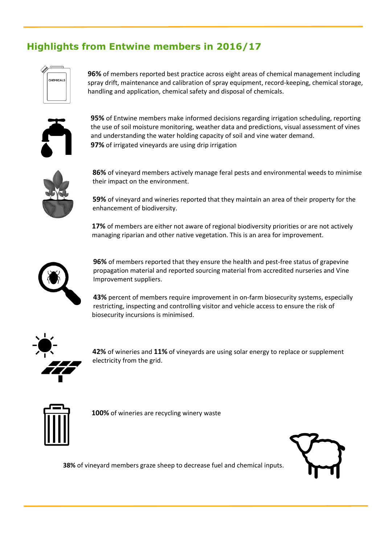## **Highlights from Entwine members in 2016/17**

| CHEMICALS |  |
|-----------|--|
|           |  |
|           |  |

**96%** of members reported best practice across eight areas of chemical management including spray drift, maintenance and calibration of spray equipment, record-keeping, chemical storage, handling and application, chemical safety and disposal of chemicals.



**95%** of Entwine members make informed decisions regarding irrigation scheduling, reporting the use of soil moisture monitoring, weather data and predictions, visual assessment of vines and understanding the water holding capacity of soil and vine water demand. **97%** of irrigated vineyards are using drip irrigation



**86%** of vineyard members actively manage feral pests and environmental weeds to minimise their impact on the environment.

**59%** of vineyard and wineries reported that they maintain an area of their property for the enhancement of biodiversity.

**17%** of members are either not aware of regional biodiversity priorities or are not actively managing riparian and other native vegetation. This is an area for improvement.



**96%** of members reported that they ensure the health and pest-free status of grapevine propagation material and reported sourcing material from accredited nurseries and Vine Improvement suppliers.

**43%** percent of members require improvement in on-farm biosecurity systems, especially restricting, inspecting and controlling visitor and vehicle access to ensure the risk of biosecurity incursions is minimised.



**42%** of wineries and **11%** of vineyards are using solar energy to replace or supplement electricity from the grid.



**100%** of wineries are recycling winery waste



i

**38%** of vineyard members graze sheep to decrease fuel and chemical inputs.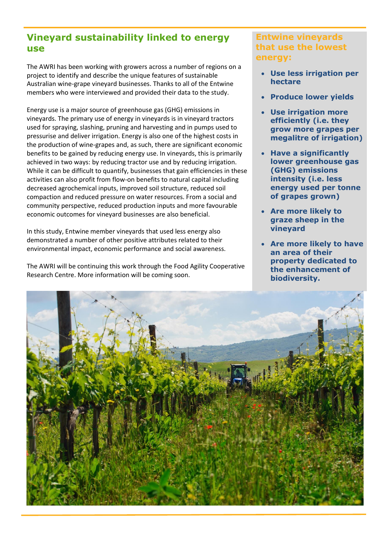### **Vineyard sustainability linked to energy use**

The AWRI has been working with growers across a number of regions on a project to identify and describe the unique features of sustainable Australian wine-grape vineyard businesses. Thanks to all of the Entwine members who were interviewed and provided their data to the study.

Energy use is a major source of greenhouse gas (GHG) emissions in vineyards. The primary use of energy in vineyards is in vineyard tractors used for spraying, slashing, pruning and harvesting and in pumps used to pressurise and deliver irrigation. Energy is also one of the highest costs in the production of wine-grapes and, as such, there are significant economic benefits to be gained by reducing energy use. In vineyards, this is primarily achieved in two ways: by reducing tractor use and by reducing irrigation. While it can be difficult to quantify, businesses that gain efficiencies in these activities can also profit from flow-on benefits to natural capital including decreased agrochemical inputs, improved soil structure, reduced soil compaction and reduced pressure on water resources. From a social and community perspective, reduced production inputs and more favourable economic outcomes for vineyard businesses are also beneficial.

In this study, Entwine member vineyards that used less energy also demonstrated a number of other positive attributes related to their environmental impact, economic performance and social awareness.

The AWRI will be continuing this work through the Food Agility Cooperative Research Centre. More information will be coming soon.

### **Entwine vineyards that use the lowest energy:**

• **Use less irrigation per hectare**

 $\overline{a}$ 

- **Produce lower yields**
- **Use irrigation more efficiently (i.e. they grow more grapes per megalitre of irrigation)**
- **Have a significantly lower greenhouse gas (GHG) emissions intensity (i.e. less energy used per tonne of grapes grown)**
- **Are more likely to graze sheep in the vineyard**
- **Are more likely to have an area of their property dedicated to the enhancement of biodiversity.**